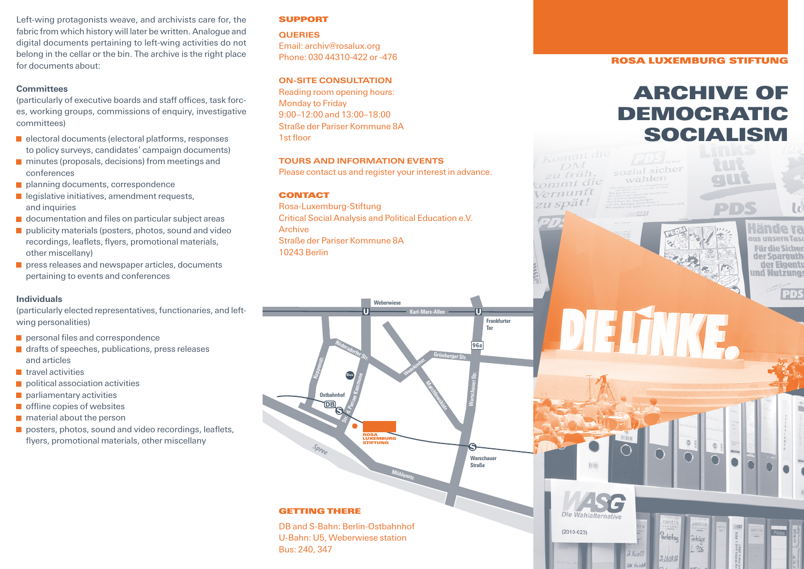Left-wing protagonists weave, and archivists care for, the fabric from which history will later be written. Analogue and digital documents pertaining to left-wing activities do not belong in the cellar or the bin. The archive is the right place for documents about:

# **Committees**

(particularly of executive boards and staff offices, task forces, working groups, commissions of enquiry, investigative committees)

- $\blacksquare$  electoral documents (electoral platforms, responses to policy surveys, candidates' campaign documents)
- $\blacksquare$  minutes (proposals, decisions) from meetings and conferences
- **planning documents, correspondence**
- $\blacksquare$  legislative initiatives, amendment requests, and inquiries
- **d** documentation and files on particular subject areas
- $\blacksquare$  publicity materials (posters, photos, sound and video recordings, leaflets, flyers, promotional materials, other miscellany)
- **P** press releases and newspaper articles, documents pertaining to events and conferences

# **Individuals**

(particularly elected representatives, functionaries, and leftwing personalities)

- personal files and correspondence
- drafts of speeches, publications, press releases and articles
- $\blacksquare$  travel activities
- $\blacksquare$  political association activities
- **parliamentary activities**
- $\blacksquare$  offline copies of websites
- **n** material about the person
- posters, photos, sound and video recordings, leaflets, flyers, promotional materials, other miscellany

# **SUPPORT**

**QUERIES** Email: archiv@rosalux.org Phone: 030 44310-422 or -476

# **ON-SITE CONSULTATION**

Reading room opening hours: Monday to Friday 9:00–12:00 and 13:00–18:00 Straße der Pariser Kommune 8A 1st floor

# **TOURS AND INFORMATION EVENTS**

Please contact us and register your interest in advance.

# **CONTACT**

Rosa-Luxemburg-Stiftung Critical Social Analysis and Political Education e.V. Archive Straße der Pariser Kommune 8A 10243 Berlin



## **ROSA LUXEMBURG STIFTUNG**